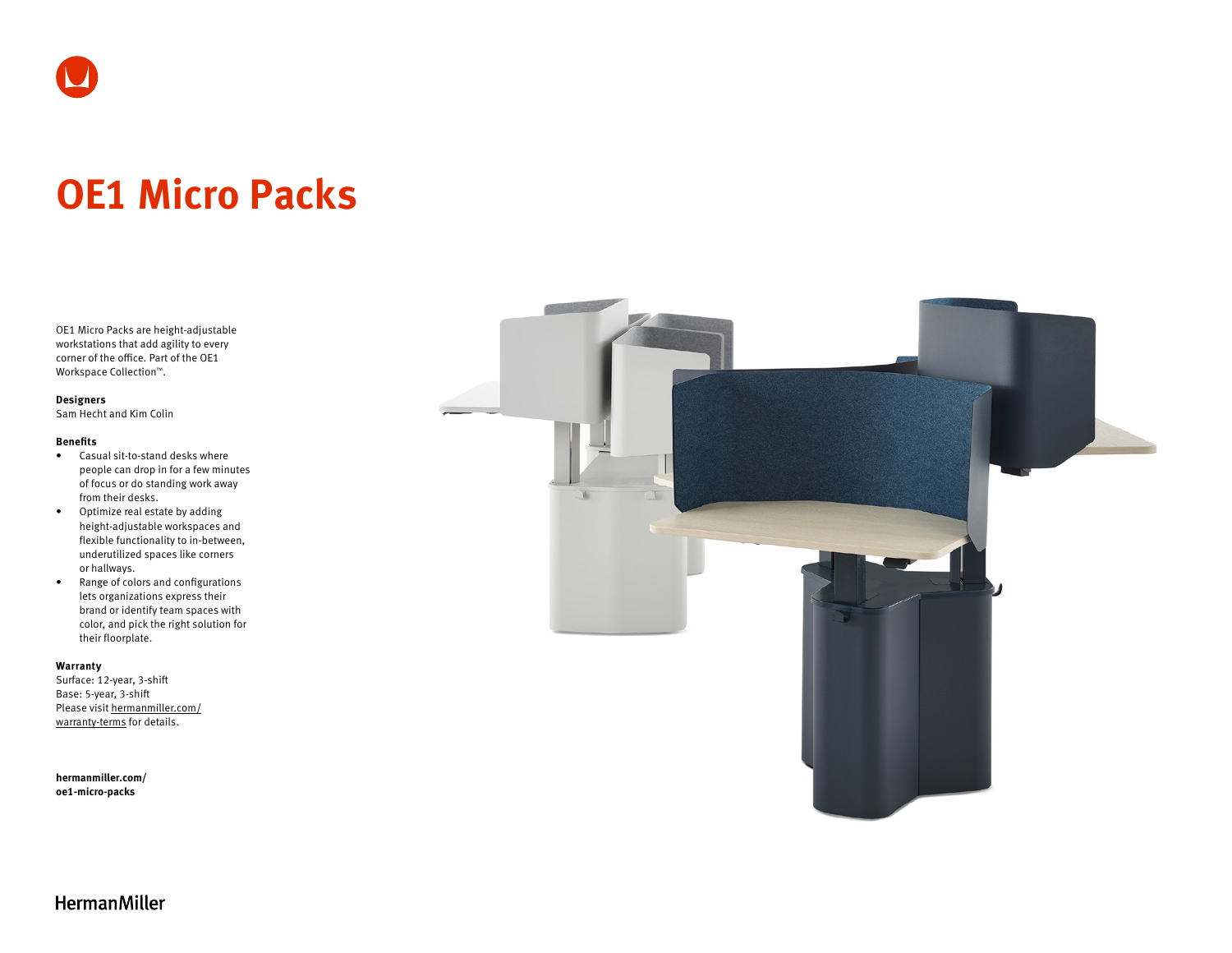# **OE1 Micro Packs**

OE1 Micro Packs are height-adjustable workstations that add agility to every corner of the office. Part of the OE1 Workspace Collection™.

#### **Designers**

Sam Hecht and Kim Colin

### **Benefits**

- Casual sit-to-stand desks where people can drop in for a few minutes of focus or do standing work away from their desks.
- Optimize real estate by adding height-adjustable workspaces and flexible functionality to in-between, underutilized spaces like corners or hallways.
- Range of colors and configurations lets organizations express their brand or identify team spaces with color, and pick the right solution for their floorplate.

## **Warranty**

Surface: 12-year, 3-shift Base: 5-year, 3-shift Please visit [hermanmiller.com/](https://hermanmiller.com/warranty-terms) [warranty-terms](https://hermanmiller.com/warranty-terms) for details.

**[hermanmiller.com/](https://hermanmiller.com/oe1-micro-packs) [oe1-m](https://hermanmiller.com/oe1-micro-packs)icro-packs**